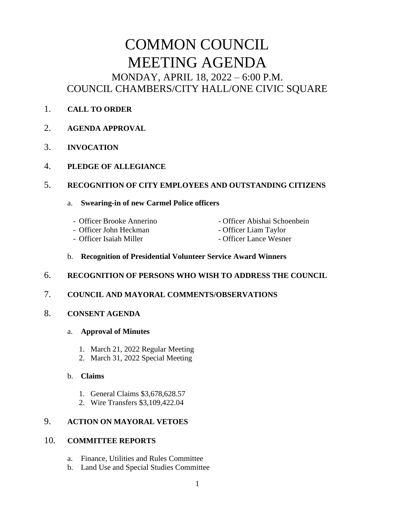# COMMON COUNCIL MEETING AGENDA MONDAY, APRIL 18, 2022 – 6:00 P.M. COUNCIL CHAMBERS/CITY HALL/ONE CIVIC SQUARE

- 1. **CALL TO ORDER**
- 2. **AGENDA APPROVAL**
- 3. **INVOCATION**
- 4. **PLEDGE OF ALLEGIANCE**

# 5. **RECOGNITION OF CITY EMPLOYEES AND OUTSTANDING CITIZENS**

## a. **Swearing-in of new Carmel Police officers**

- Officer Brooke Annerino Officer Abishai Schoenbein
- Officer John Heckman Officer Liam Taylor
	-
- 
- 
- Officer Isaiah Miller Officer Lance Wesner
	-

# b. **Recognition of Presidential Volunteer Service Award Winners**

6. **RECOGNITION OF PERSONS WHO WISH TO ADDRESS THE COUNCIL**

# 7. **COUNCIL AND MAYORAL COMMENTS/OBSERVATIONS**

- 8. **CONSENT AGENDA**
	- a. **Approval of Minutes**
		- 1. March 21, 2022 Regular Meeting
		- 2. March 31, 2022 Special Meeting
	- b. **Claims**
		- 1. General Claims \$3,678,628.57
		- 2. Wire Transfers \$3,109,422.04

# 9. **ACTION ON MAYORAL VETOES**

# 10. **COMMITTEE REPORTS**

- a. Finance, Utilities and Rules Committee
- b. Land Use and Special Studies Committee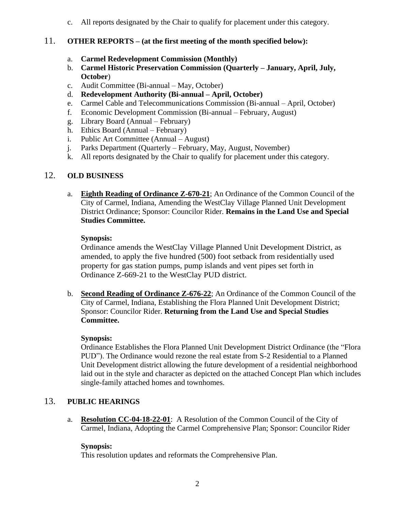c. All reports designated by the Chair to qualify for placement under this category.

## 11. **OTHER REPORTS – (at the first meeting of the month specified below):**

- a. **Carmel Redevelopment Commission (Monthly)**
- b. **Carmel Historic Preservation Commission (Quarterly – January, April, July, October**)
- c. Audit Committee (Bi-annual May, October)
- d. **Redevelopment Authority (Bi-annual – April, October)**
- e. Carmel Cable and Telecommunications Commission (Bi-annual April, October)
- f. Economic Development Commission (Bi-annual February, August)
- g. Library Board (Annual February)
- h. Ethics Board (Annual February)
- i. Public Art Committee (Annual August)
- j. Parks Department (Quarterly February, May, August, November)
- k. All reports designated by the Chair to qualify for placement under this category.

#### 12. **OLD BUSINESS**

a. **Eighth Reading of Ordinance Z-670-21**; An Ordinance of the Common Council of the City of Carmel, Indiana, Amending the WestClay Village Planned Unit Development District Ordinance; Sponsor: Councilor Rider. **Remains in the Land Use and Special Studies Committee.**

#### **Synopsis:**

Ordinance amends the WestClay Village Planned Unit Development District, as amended, to apply the five hundred (500) foot setback from residentially used property for gas station pumps, pump islands and vent pipes set forth in Ordinance Z-669-21 to the WestClay PUD district.

b. **Second Reading of Ordinance Z-676-22**; An Ordinance of the Common Council of the City of Carmel, Indiana, Establishing the Flora Planned Unit Development District; Sponsor: Councilor Rider. **Returning from the Land Use and Special Studies Committee.**

#### **Synopsis:**

Ordinance Establishes the Flora Planned Unit Development District Ordinance (the "Flora PUD"). The Ordinance would rezone the real estate from S-2 Residential to a Planned Unit Development district allowing the future development of a residential neighborhood laid out in the style and character as depicted on the attached Concept Plan which includes single-family attached homes and townhomes.

## 13. **PUBLIC HEARINGS**

a. **Resolution CC-04-18-22-01**: A Resolution of the Common Council of the City of Carmel, Indiana, Adopting the Carmel Comprehensive Plan; Sponsor: Councilor Rider

#### **Synopsis:**

This resolution updates and reformats the Comprehensive Plan.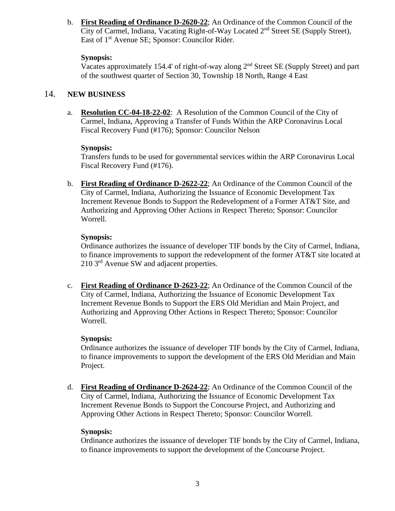b. **First Reading of Ordinance D-2620-22**; An Ordinance of the Common Council of the City of Carmel, Indiana, Vacating Right-of-Way Located 2nd Street SE (Supply Street), East of 1st Avenue SE; Sponsor: Councilor Rider.

#### **Synopsis:**

Vacates approximately 154.4' of right-of-way along 2nd Street SE (Supply Street) and part of the southwest quarter of Section 30, Township 18 North, Range 4 East

# 14. **NEW BUSINESS**

a. **Resolution CC-04-18-22-02**: A Resolution of the Common Council of the City of Carmel, Indiana, Approving a Transfer of Funds Within the ARP Coronavirus Local Fiscal Recovery Fund (#176); Sponsor: Councilor Nelson

#### **Synopsis:**

Transfers funds to be used for governmental services within the ARP Coronavirus Local Fiscal Recovery Fund (#176).

b. **First Reading of Ordinance D-2622-22**; An Ordinance of the Common Council of the City of Carmel, Indiana, Authorizing the Issuance of Economic Development Tax Increment Revenue Bonds to Support the Redevelopment of a Former AT&T Site, and Authorizing and Approving Other Actions in Respect Thereto; Sponsor: Councilor Worrell.

## **Synopsis:**

Ordinance authorizes the issuance of developer TIF bonds by the City of Carmel, Indiana, to finance improvements to support the redevelopment of the former AT&T site located at 210 3rd Avenue SW and adjacent properties.

c. **First Reading of Ordinance D-2623-22**; An Ordinance of the Common Council of the City of Carmel, Indiana, Authorizing the Issuance of Economic Development Tax Increment Revenue Bonds to Support the ERS Old Meridian and Main Project, and Authorizing and Approving Other Actions in Respect Thereto; Sponsor: Councilor Worrell.

## **Synopsis:**

Ordinance authorizes the issuance of developer TIF bonds by the City of Carmel, Indiana, to finance improvements to support the development of the ERS Old Meridian and Main Project.

d. **First Reading of Ordinance D-2624-22**; An Ordinance of the Common Council of the City of Carmel, Indiana, Authorizing the Issuance of Economic Development Tax Increment Revenue Bonds to Support the Concourse Project, and Authorizing and Approving Other Actions in Respect Thereto; Sponsor: Councilor Worrell.

## **Synopsis:**

Ordinance authorizes the issuance of developer TIF bonds by the City of Carmel, Indiana, to finance improvements to support the development of the Concourse Project.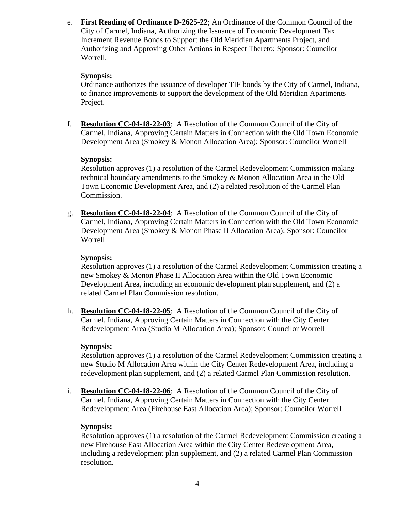e. **First Reading of Ordinance D-2625-22**; An Ordinance of the Common Council of the City of Carmel, Indiana, Authorizing the Issuance of Economic Development Tax Increment Revenue Bonds to Support the Old Meridian Apartments Project, and Authorizing and Approving Other Actions in Respect Thereto; Sponsor: Councilor Worrell.

#### **Synopsis:**

Ordinance authorizes the issuance of developer TIF bonds by the City of Carmel, Indiana, to finance improvements to support the development of the Old Meridian Apartments Project.

f. **Resolution CC-04-18-22-03**: A Resolution of the Common Council of the City of Carmel, Indiana, Approving Certain Matters in Connection with the Old Town Economic Development Area (Smokey & Monon Allocation Area); Sponsor: Councilor Worrell

#### **Synopsis:**

Resolution approves (1) a resolution of the Carmel Redevelopment Commission making technical boundary amendments to the Smokey & Monon Allocation Area in the Old Town Economic Development Area, and (2) a related resolution of the Carmel Plan Commission.

g. **Resolution CC-04-18-22-04**: A Resolution of the Common Council of the City of Carmel, Indiana, Approving Certain Matters in Connection with the Old Town Economic Development Area (Smokey & Monon Phase II Allocation Area); Sponsor: Councilor Worrell

#### **Synopsis:**

Resolution approves (1) a resolution of the Carmel Redevelopment Commission creating a new Smokey & Monon Phase II Allocation Area within the Old Town Economic Development Area, including an economic development plan supplement, and (2) a related Carmel Plan Commission resolution.

h. **Resolution CC-04-18-22-05**: A Resolution of the Common Council of the City of Carmel, Indiana, Approving Certain Matters in Connection with the City Center Redevelopment Area (Studio M Allocation Area); Sponsor: Councilor Worrell

#### **Synopsis:**

Resolution approves (1) a resolution of the Carmel Redevelopment Commission creating a new Studio M Allocation Area within the City Center Redevelopment Area, including a redevelopment plan supplement, and (2) a related Carmel Plan Commission resolution.

i. **Resolution CC-04-18-22-06**: A Resolution of the Common Council of the City of Carmel, Indiana, Approving Certain Matters in Connection with the City Center Redevelopment Area (Firehouse East Allocation Area); Sponsor: Councilor Worrell

## **Synopsis:**

Resolution approves (1) a resolution of the Carmel Redevelopment Commission creating a new Firehouse East Allocation Area within the City Center Redevelopment Area, including a redevelopment plan supplement, and (2) a related Carmel Plan Commission resolution.